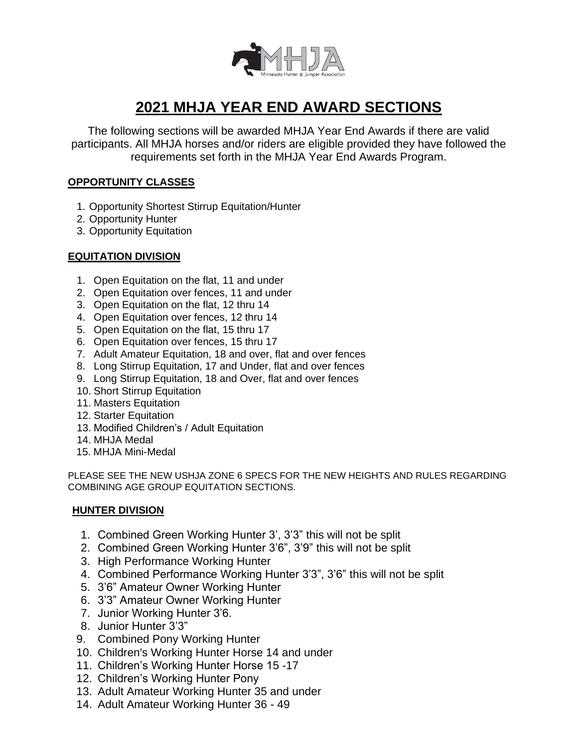

# **2021 MHJA YEAR END AWARD SECTIONS**

The following sections will be awarded MHJA Year End Awards if there are valid participants. All MHJA horses and/or riders are eligible provided they have followed the requirements set forth in the MHJA Year End Awards Program.

## **OPPORTUNITY CLASSES**

- 1. Opportunity Shortest Stirrup Equitation/Hunter
- 2. Opportunity Hunter
- 3. Opportunity Equitation

## **EQUITATION DIVISION**

- 1. Open Equitation on the flat, 11 and under
- 2. Open Equitation over fences, 11 and under
- 3. Open Equitation on the flat, 12 thru 14
- 4. Open Equitation over fences, 12 thru 14
- 5. Open Equitation on the flat, 15 thru 17
- 6. Open Equitation over fences, 15 thru 17
- 7. Adult Amateur Equitation, 18 and over, flat and over fences
- 8. Long Stirrup Equitation, 17 and Under, flat and over fences
- 9. Long Stirrup Equitation, 18 and Over, flat and over fences
- 10. Short Stirrup Equitation
- 11. Masters Equitation
- 12. Starter Equitation
- 13. Modified Children's / Adult Equitation
- 14. MHJA Medal
- 15. MHJA Mini-Medal

PLEASE SEE THE NEW USHJA ZONE 6 SPECS FOR THE NEW HEIGHTS AND RULES REGARDING COMBINING AGE GROUP EQUITATION SECTIONS.

### **HUNTER DIVISION**

- 1. Combined Green Working Hunter 3', 3'3" this will not be split
- 2. Combined Green Working Hunter 3'6", 3'9" this will not be split
- 3. High Performance Working Hunter
- 4. Combined Performance Working Hunter 3'3", 3'6" this will not be split
- 5. 3'6" Amateur Owner Working Hunter
- 6. 3'3" Amateur Owner Working Hunter
- 7. Junior Working Hunter 3'6.
- 8. Junior Hunter 3'3"
- 9. Combined Pony Working Hunter
- 10. Children's Working Hunter Horse 14 and under
- 11. Children's Working Hunter Horse 15 -17
- 12. Children's Working Hunter Pony
- 13. Adult Amateur Working Hunter 35 and under
- 14. Adult Amateur Working Hunter 36 49